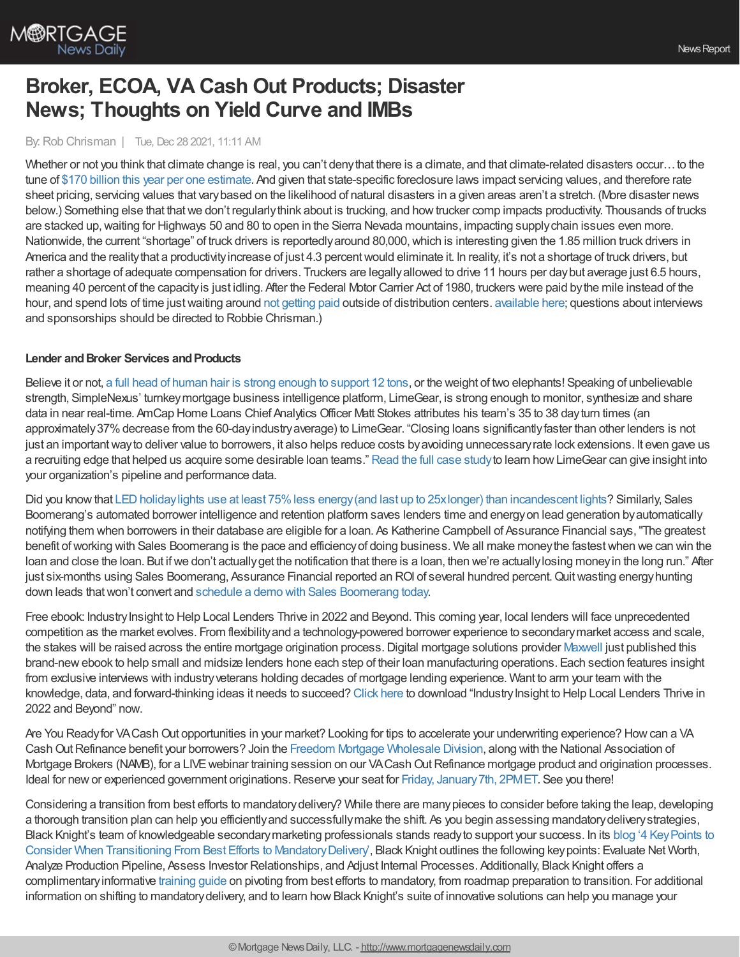

# **Broker, ECOA, VA Cash Out Products; Disaster News; Thoughts on Yield Curve and IMBs**

By:Rob Chrisman | Tue, Dec 28 2021, 11:11 AM

Whether or not you think that climate change is real, you can't deny that there is a climate, and that climate-related disasters occur…to the tune of \$170 billion this year per one [estimate.](https://www.axios.com/climate-disasters-cost-world-billions-2021-study-6bdb1eb0-faf4-4e05-8915-b2a7374270cf.html) And given that state-specific foreclosure laws impact servicing values, and therefore rate sheet pricing, servicing values that varybased on the likelihood of natural disasters in a given areas aren't a stretch. (More disaster news below.) Something else that that we don't regularly think about is trucking, and how trucker comp impacts productivity. Thousands of trucks are stacked up, waiting for Highways 50 and 80 to open in the Sierra Nevada mountains, impacting supply chain issues even more. Nationwide, the current "shortage" of truck drivers is reportedly around 80,000, which is interesting given the 1.85 million truck drivers in America and the reality that a productivity increase of just 4.3 percent would eliminate it. In reality, it's not a shortage of truck drivers, but rather a shortage of adequate compensation for drivers. Truckers are legallyallowed to drive 11 hours per daybut average just 6.5 hours, meaning 40 percent of the capacityis just idling. After the Federal Motor Carrier Act of 1980, truckers were paid bythe mile instead of the hour, and spend lots of time just waiting around not [getting](https://mattstoller.substack.com/p/the-worlds-most-profitable-traffic?r=5r96&utm_campaign=post&utm_medium=email) paid outside of distribution centers, [available](https://linktr.ee/dailymortgagenews) here; questions about interviews and sponsorships should be directed to Robbie Chrisman.)

#### **Lender** and **Broker Services** and **Products**

Believe it or not, a full head of human hair is strong enough to [support](https://bit.ly/3yLOAGd) 12 tons, or the weight of two elephants! Speaking of unbelievable strength, SimpleNexus' turnkeymortgage business intelligence platform, LimeGear, is strong enough to monitor, synthesize and share data in near real-time. AmCap Home Loans Chief Analytics Officer Matt Stokes attributes his team's 35 to 38 dayturn times (an approximately37%decrease from the 60-dayindustryaverage) to LimeGear. "Closing loans significantlyfaster than other lenders is not just an important way to deliver value to borrowers, it also helps reduce costs by avoiding unnecessary rate lock extensions. It even gave us a recruiting edge that helped us acquire some desirable loan teams." [Read](https://bit.ly/3H1DQpT) the full case studyto learn howLimeGear can give insight into your organization's pipeline and performance data.

Did you know that LED holiday lights use at least 75% less energy (and last up to 25x longer) than incandescent lights? Similarly, Sales Boomerang's automated borrower intelligence and retention platform saves lenders time and energyon lead generation byautomatically notifying them when borrowers in their database are eligible for a loan. As Katherine Campbell of Assurance Financial says,"The greatest benefit of working with Sales Boomerang is the pace and efficiency of doing business. We all make money the fastest when we can win the loan and close the loan. But if we don't actually get the notification that there is a loan, then we're actually losing money in the long run." After just six-months using Sales Boomerang, Assurance Financial reported an ROI of several hundred percent. Quit wasting energy hunting down leads that won't convert and schedule a demo with Sales [Boomerang](https://hubs.ly/Q010WV4b0) today.

Free ebook: Industry Insight to Help Local Lenders Thrive in 2022 and Beyond. This coming year, local lenders will face unprecedented competition as the market evolves. From flexibilityand a technology-powered borrower experience to secondarymarket access and scale, the stakes will be raised across the entire mortgage origination process. Digital mortgage solutions provider [Maxwell](https://himaxwell.com/?utm_source=RC&utm_medium=RC_CTA) just published this brand-newebook to help small and midsize lenders hone each step of their loan manufacturing operations. Each section features insight from exclusive interviews with industryveterans holding decades of mortgage lending experience. Want to arm your team with the knowledge, data, and forward-thinking ideas it needs to succeed? [Click](https://himaxwell.com/resources/future-proof-industry-insight-to-help-local-lenders-thrive/?utm_source=RC&utm_medium=RC_CTA) here to download "IndustryInsight to Help Local Lenders Thrive in 2022 and Beyond" now.

Are You Ready for VA Cash Out opportunities in your market? Looking for tips to accelerate your underwriting experience? How can a VA Cash Out Refinance benefit your borrowers? Join the Freedom Mortgage [Wholesale](https://www.freedomwholesale.com/wps/portal/wholesale/vp/anonymous/!ut/p/z1/04_Sj9CPykssy0xPLMnMz0vMAfIjo8zijS09LAwdgw18_M3djQ0cfYK9DINdvA2NDE30wwkpiAJKG-AAjgZA_VFgJXAT3D2CTAwcTb1D3J0DPQwM3M2hCvCYUZAbYZDpqKgIAJLBHlY!/dz/d5/L2dBISEvZ0FBIS9nQSEh/) Division, along with the National Association of Mortgage Brokers (NAMB), for a LIVE webinar training session on our VA Cash Out Refinance mortgage product and origination processes. Ideal for new or experienced government originations. Reserve your seat for Friday, January 7th, 2PMET. See you there!

Considering a transition from best efforts to mandatorydelivery? While there are manypieces to consider before taking the leap, developing a thorough transition plan can help you efficientlyand successfullymake the shift. As you begin assessing mandatorydeliverystrategies, Black Knight's team of knowledgeable [secondarymarketing](https://www.blackknightinc.com/blog-posts/4-key-points-to-consider-when-transitioning-from-best-efforts-to-mandatory-delivery/?utm_source=chrisman-newsletter&utm_medium=paid-referral&utm_campaign=SMT_Compass_MSR-Platform&utm_content=text-ad) professionals stands readyto support your success. In its blog '4 KeyPoints to Consider When Transitioning From Best Efforts to MandatoryDelivery', Black Knight outlines the following keypoints: Evaluate Net Worth, Analyze Production Pipeline, Assess Investor Relationships, and Adjust Internal Processes. Additionally, Black Knight offers a complimentaryinformative [training](https://f.hubspotusercontent10.net/hubfs/4225469/MKTG-Collateral/RESOURCE%20Mandatory%20Transition%20&%20Training%20Guide.pdf) guide on pivoting from best efforts to mandatory, from roadmap preparation to transition. For additional information on shifting to mandatory delivery, and to learn how Black Knight's suite of innovative solutions can help you manage your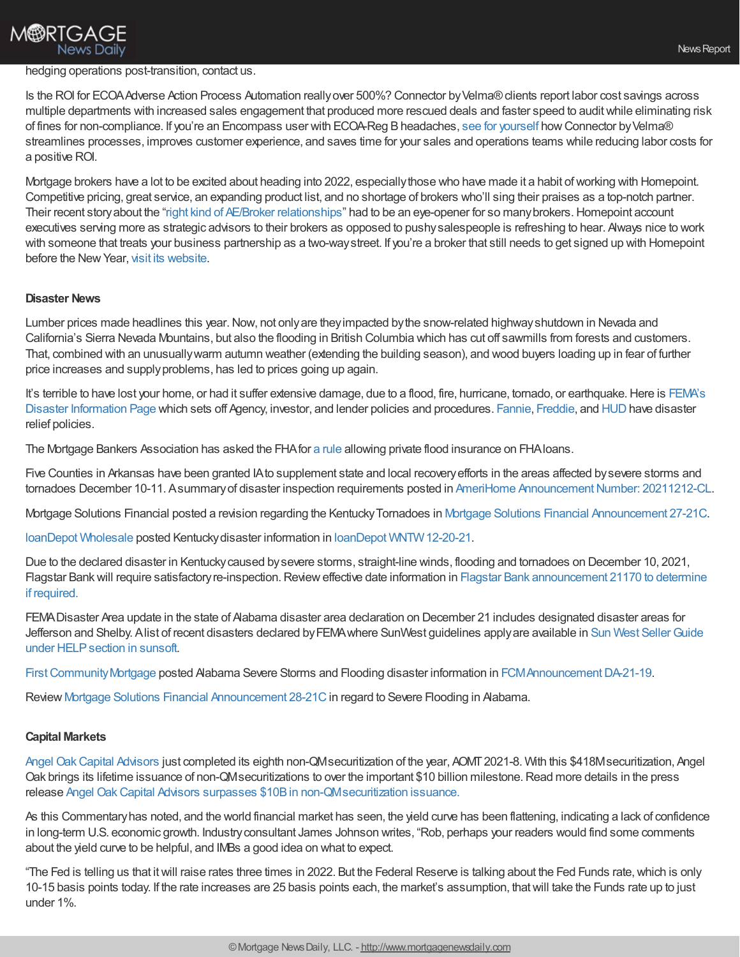## **M®RTGAGE News Daily**

#### hedging operations post-transition, contact us.

Is the ROI for ECOAAdverse Action Process Automation reallyover 500%? Connector byVelma®clients report labor cost savings across multiple departments with increased sales engagement that produced more rescued deals and faster speed to auditwhile eliminating risk of fines for non-compliance. If you're an Encompass user with ECOA-Reg B headaches, see for [yourself](https://www.meetvelma.com/campaigns/ecoa/) how Connector by Velma® streamlines processes, improves customer experience, and saves time for your sales and operations teams while reducing labor costs for a positive ROI.

Mortgage brokers have a lot to be excited about heading into 2022, especiallythose who have made it a habit ofworking with Homepoint. Competitive pricing, great service, an expanding product list, and no shortage of brokers who'll sing their praises as a top-notch partner. Their recent story about the "right kind of AE/Broker [relationships"](https://www.mpamag.com/us/news/general/homepoint-reveals-approach-that-is-reaping-dividends/320141) had to be an eye-opener for so many brokers. Homepoint account executives serving more as strategic advisors to their brokers as opposed to pushysalespeople is refreshing to hear. Always nice to work with someone that treats your business partnership as a two-waystreet. If you're a broker that still needs to get signed up with Homepoint before the New Year, visit its [website](https://www.homepointfinancial.com/businesses/).

#### **Disaster News**

Lumber prices made headlines this year. Now, not only are they impacted by the snow-related highway shutdown in Nevada and California's Sierra Nevada Mountains, but also the flooding in British Columbia which has cut off sawmills from forests and customers. That, combined with an unusuallywarm autumn weather (extending the building season), and wood buyers loading up in fear of further price increases and supplyproblems, has led to prices going up again.

It's terrible to have lost your home, or had it suffer extensive damage, due to a flood, fire, hurricane, tornado, or earthquake. Here is FEMA's Disaster Information Page which sets off Agency, investor, and lender policies and procedures. [Fannie,](https://singlefamily.fanniemae.com/disaster-response) [Freddie,](https://my.sf.freddiemac.com/servicing/disaster-relief) and [HUD](https://www.hud.gov/program_offices/housing/sfh/nsc/qaho0121) have disaster relief policies.

The Mortgage Bankers Association has asked the FHAfor a [rule](https://www.govinfo.gov/content/pkg/FR-2020-11-23/pdf/2020-25105.pdf#page=1) allowing private flood insurance on FHAloans.

Five Counties in Arkansas have been granted IAto supplement state and local recoveryefforts in the areas affected bysevere storms and tornadoes December 10-11. Asummary of disaster inspection requirements posted in AmeriHome Announcement Number: 20211212-CL.

Mortgage Solutions Financial posted a revision regarding the KentuckyTornadoes in Mortgage Solutions Financial [Announcement](https://na01.safelinks.protection.outlook.com/?url=https%253A%252F%252Fr20.rs6.net%252Ftn.jsp%253Ff%253D001mdvz62M36SsCJpMGo1Pl3xJenENiwBZYraSKxwZKsRQpfK4k2hU3NpzRhoMbfLoEZ-nDYRwjodI29sU42N0As8GFwKeoaoPteZzOgL5aVI1jlmNeJbL-XvMwkvpJ7DgHMoGbHvqbdKlGRPA72ZG9fbF4GFqzVfr3YPPbxX3J-ekgX1T2Ritlt6f3pV5X4_EaYJbNKuMdNKYZSNt72ujft-dj6xe6EM90FyvN1WuAFTo%253D%2526c%253DuvrNqtWnrOR7ijBGIa8GCv8OaRAfd44f8J43HfBm0UU1RRwOgNCNkw%253D%253D%2526ch%253DucEbDH-VB3Blb7l6u-ysYPeu1i1m-YvMcMyo2bDFDiqLFn8y5-zQBA%253D%253D&data=04%257C01%257C%257C4e0a2fdd7cc24470a88a08d9c6385992%257C84df9e7fe9f640afb435aaaaaaaaaaaa%257C1%257C0%257C637758767592276982%257CUnknown%257CTWFpbGZsb3d8eyJWIjoiMC4wLjAwMDAiLCJQIjoiV2luMzIiLCJBTiI6Ik1haWwiLCJXVCI6Mn0%253D%257C3000&sdata=5m%252B5KEUJprRxeitsxi%252B8XzWuxESZU0AseQWJwkJoeXQ%253D&reserved=0) 27-21C.

loanDepot [Wholesale](https://www.ldwholesale.com/) posted Kentuckydisaster information in loanDepot [WNTW12-20-21](https://www.ldwholesale.com/).

Due to the declared disaster in Kentuckycaused bysevere storms, straight-line winds, flooding and tornadoes on December 10, 2021, Flagstar Bank will require satisfactory re-inspection. Review effective date information in Flagstar Bank announcement 21170 to determine if required.

FEMADisaster Area update in the state of Alabama disaster area declaration on December 21 includes designated disaster areas for Jefferson and Shelby. Alist of recent disasters declared by FEMA where SunWest guidelines apply are available in Sun West Seller Guide under HELPsection in sunsoft.

First Community Mortgage posted Alabama Severe Storms and Flooding disaster information in FCMAnnouncement DA-21-19.

Review Mortgage Solutions Financial [Announcement](https://na01.safelinks.protection.outlook.com/?url=https%253A%252F%252Fr20.rs6.net%252Ftn.jsp%253Ff%253D0011FabbTs3cYeWYMbn0dxuR3Hy1H379L94IPKfm_ziKrcG0855bba3nV5XugNr06THHUfIVXSou6W6c_pdpTqb1PlkmxMGOKdXVmCQOtwqXLMtf02Qth7MkVXgj-KzIB6Z2MNrRKSJ0P-o4zxEXDjqqsqEMFqbl2RXZTwjCeeCfgL-3cDO-hzU1Zq6qSHjMD7r9t4kxwUlCBZ8apk3WSBqXY51OqLjLay_8iNMExsBjZE%253D%2526c%253DRb8wmtELxKggHXvAQNPk16q84YrSu-KG4Dm1QF72fTOypUTlRDH-zA%253D%253D%2526ch%253DcDAWzWUDAhZIcjIr42YvUHh4i8I69nej5hb-XBOuirU_MEHW-K45sQ%253D%253D&data=04%257C01%257C%257C4bc88c8873604e131e9308d9c56b06f3%257C84df9e7fe9f640afb435aaaaaaaaaaaa%257C1%257C0%257C637757885766104442%257CUnknown%257CTWFpbGZsb3d8eyJWIjoiMC4wLjAwMDAiLCJQIjoiV2luMzIiLCJBTiI6Ik1haWwiLCJXVCI6Mn0%253D%257C3000&sdata=vRP7DCwVvA6Hxs79UI2X2CHy%252Bpx47aj1CfkDD24Z7sY%253D&reserved=0) 28-21C in regard to Severe Flooding in Alabama.

#### **Capital Markets**

Angel [OakCapital](https://na01.safelinks.protection.outlook.com/?url=https%253A%252F%252Fangeloakcapital.com%252F&data=04%257C01%257C%257C7a909f84b30d447de56808d9c6e29e47%257C84df9e7fe9f640afb435aaaaaaaaaaaa%257C1%257C0%257C637759498891316579%257CUnknown%257CTWFpbGZsb3d8eyJWIjoiMC4wLjAwMDAiLCJQIjoiV2luMzIiLCJBTiI6Ik1haWwiLCJXVCI6Mn0%253D%257C3000&sdata=5yK8BwczcLB0WKi0X838P8e9bkwE0r3FPtFIKSthuzg%253D&reserved=0) Advisors just completed its eighth non-QMsecuritization of the year, AOMT2021-8. With this \$418Msecuritization, Angel Oak brings its lifetime issuance of non-QMsecuritizations to over the important \$10 billion milestone.Read more details in the press release Angel OakCapital Advisors surpasses \$10Bin [non-QMsecuritization](https://na01.safelinks.protection.outlook.com/?url=https%253A%252F%252Fwww.businesswire.com%252Fnews%252Fhome%252F20211222005493%252Fen%252FAngel-Oak-Capital-Advisors-Surpasses-10B-in-Non-QM-Securitization-Issuance&data=04%257C01%257C%257C7a909f84b30d447de56808d9c6e29e47%257C84df9e7fe9f640afb435aaaaaaaaaaaa%257C1%257C0%257C637759498891316579%257CUnknown%257CTWFpbGZsb3d8eyJWIjoiMC4wLjAwMDAiLCJQIjoiV2luMzIiLCJBTiI6Ik1haWwiLCJXVCI6Mn0%253D%257C3000&sdata=gqlyjwGkIPpCQGP4e%252B7d5w8lh8GM1EzCTYyu3S6uZH8%253D&reserved=0) issuance.

As this Commentaryhas noted, and the world financial market has seen, the yield curve has been flattening, indicating a lack of confidence in long-term U.S. economic growth. Industryconsultant James Johnson writes, "Rob, perhaps your readers would find some comments about the yield curve to be helpful, and IMBs a good idea on what to expect.

"The Fed is telling us that itwill raise rates three times in 2022. But the Federal Reserve is talking about the Fed Funds rate,which is only 10-15 basis points today. If the rate increases are 25 basis points each, the market's assumption, thatwill take the Funds rate up to just under 1%.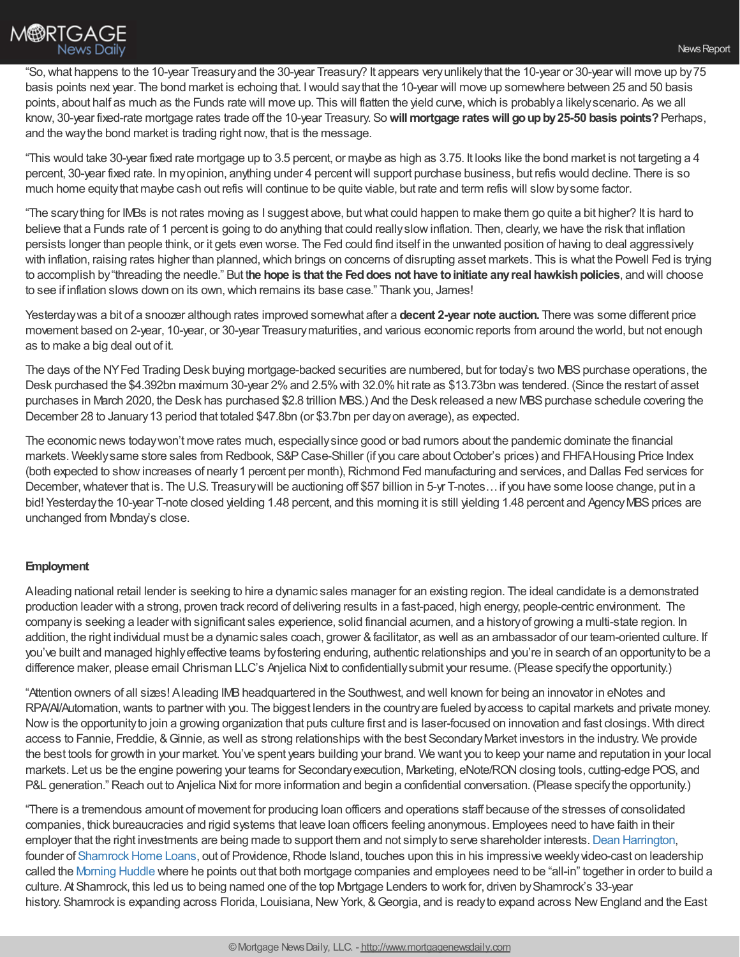

"So,what happens to the 10-year Treasuryand the 30-year Treasury? It appears veryunlikelythat the 10-year or 30-year will move up by75 basis points next year. The bond market is echoing that. Iwould saythat the 10-year will move up somewhere between 25 and 50 basis points, about half as much as the Funds rate will move up. This will flatten the yield curve, which is probably a likely scenario. As we all know, 30-year fixed-rate mortgage rates trade off the 10-year Treasury. So**willmortgage rateswill goupby25-50 basis points?**Perhaps, and the waythe bond market is trading right now, that is the message.

"This would take 30-year fixed rate mortgage up to 3.5 percent, or maybe as high as 3.75. It looks like the bond market is not targeting a 4 percent, 30-year fixed rate. In myopinion, anything under 4 percentwill support purchase business, but refis would decline. There is so much home equity that maybe cash out refis will continue to be quite viable, but rate and term refis will slow by some factor.

"The scarything for IMBs is not rates moving as I suggest above, butwhat could happen to make them go quite a bit higher? It is hard to believe that a Funds rate of 1 percent is going to do anything that could really slow inflation. Then, clearly, we have the risk that inflation persists longer than people think, or it gets even worse. The Fed could find itself in the unwanted position of having to deal aggressively with inflation, raising rates higher than planned, which brings on concerns of disrupting asset markets. This is what the Powell Fed is trying to accomplish by"threading the needle." But t**he hope is that the Feddoes not have toinitiate anyreal hawkishpolicies**, and will choose to see if inflation slows down on its own,which remains its base case." Thank you, James!

Yesterdaywas a bit of a snoozer although rates improved somewhat after a **decent 2-year note auction.** There was some different price movement based on 2-year, 10-year, or 30-year Treasurymaturities, and various economic reports from around the world, but not enough as to make a big deal out of it.

The days of the NYFed Trading Desk buying mortgage-backed securities are numbered, but for today's two MBS purchase operations, the Desk purchased the \$4.392bn maximum 30-year 2%and 2.5%with 32.0%hit rate as \$13.73bn was tendered. (Since the restart of asset purchases in March 2020, the Desk has purchased \$2.8 trillion MBS.) And the Desk released a new MBS purchase schedule covering the December 28 to January13 period that totaled \$47.8bn (or \$3.7bn per dayon average), as expected.

The economic news todaywon't move rates much, especiallysince good or bad rumors about the pandemic dominate the financial markets. Weeklysame store sales from Redbook, S&PCase-Shiller (if you care aboutOctober's prices) and FHFAHousing Price Index (both expected to showincreases of nearly1 percent per month),Richmond Fed manufacturing and services, and Dallas Fed services for December, whatever that is. The U.S. Treasury will be auctioning off \$57 billion in 5-yr T-notes... if you have some loose change, put in a bid! Yesterday the 10-year T-note closed yielding 1.48 percent, and this morning it is still yielding 1.48 percent and Agency MBS prices are unchanged from Monday's close.

### **Employment**

Aleading national retail lender is seeking to hire a dynamic sales manager for an existing region. The ideal candidate is a demonstrated production leader with a strong, proven track record of delivering results in a fast-paced, high energy, people-centric environment. The companyis seeking a leader with significant sales experience, solid financial acumen, and a historyof growing a multi-state region. In addition, the right individual must be a dynamic sales coach, grower &facilitator, as well as an ambassador of our team-oriented culture. If you've built and managed highlyeffective teams byfostering enduring, authentic relationships and you're in search of an opportunityto be a difference maker, please email Chrisman LLC's Anjelica Nixt to confidentiallysubmit your resume. (Please specifythe opportunity.)

"Attention owners of all sizes! Aleading IMBheadquartered in the Southwest, and well known for being an innovator in eNotes and RPA/AI/Automation, wants to partner with you. The biggest lenders in the country are fueled by access to capital markets and private money. Nowis the opportunityto join a growing organization that puts culture first and is laser-focused on innovation and fast closings. With direct access to Fannie, Freddie, &Ginnie, as well as strong relationships with the best SecondaryMarket investors in the industry. We provide the best tools for growth in your market. You've spent years building your brand. We want you to keep your name and reputation in your local markets. Let us be the engine powering your teams for Secondary execution, Marketing, eNote/RON closing tools, cutting-edge POS, and P&L generation." Reach out to Anjelica Nixt for more information and begin a confidential conversation. (Please specify the opportunity.)

"There is a tremendous amount of movement for producing loan officers and operations staff because of the stresses of consolidated companies, thick bureaucracies and rigid systems that leave loan officers feeling anonymous. Employees need to have faith in their employer that the right investments are being made to support them and not simply to serve shareholder interests. Dean [Harrington,](http://linkedin.com/in/deanharrington) founder of Shamrock Home Loans, out of Providence, Rhode Island, touches upon this in his impressive weekly video-cast on leadership called the [Morning](https://www.linkedin.com/posts/shamrock-home-loans_morninghuddle-activity-6876491408455327744-1HSB) Huddle where he points out that both mortgage companies and employees need to be "all-in" together in order to build a culture. At Shamrock, this led us to being named one of the top Mortgage Lenders to work for, driven by Shamrock's 33-year history. Shamrock is expanding across Florida, Louisiana, New York, & Georgia, and is ready to expand across New England and the East